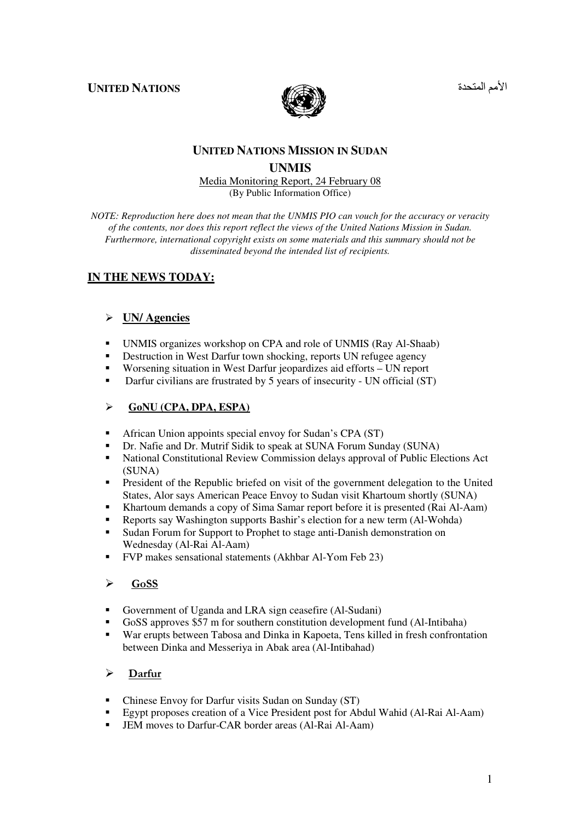**UNITED NATIONS** 



الأمم المتحد

## **UNITED NATIONS MISSION IN SUDAN UNMIS**

#### Media Monitoring Report, 24 February 08 (By Public Information Office)

*NOTE: Reproduction here does not mean that the UNMIS PIO can vouch for the accuracy or veracity of the contents, nor does this report reflect the views of the United Nations Mission in Sudan. Furthermore, international copyright exists on some materials and this summary should not be disseminated beyond the intended list of recipients.* 

# **IN THE NEWS TODAY:**

## **UN/ Agencies**

- -UNMIS organizes workshop on CPA and role of UNMIS (Ray Al-Shaab)
- -Destruction in West Darfur town shocking, reports UN refugee agency
- -Worsening situation in West Darfur jeopardizes aid efforts – UN report
- -Darfur civilians are frustrated by 5 years of insecurity - UN official (ST)

## **GoNU (CPA, DPA, ESPA)**

- -African Union appoints special envoy for Sudan's CPA (ST)
- -Dr. Nafie and Dr. Mutrif Sidik to speak at SUNA Forum Sunday (SUNA)
- - National Constitutional Review Commission delays approval of Public Elections Act (SUNA)
- - President of the Republic briefed on visit of the government delegation to the United States, Alor says American Peace Envoy to Sudan visit Khartoum shortly (SUNA)
- -Khartoum demands a copy of Sima Samar report before it is presented (Rai Al-Aam)
- -Reports say Washington supports Bashir's election for a new term (Al-Wohda)
- - Sudan Forum for Support to Prophet to stage anti-Danish demonstration on Wednesday (Al-Rai Al-Aam)
- -FVP makes sensational statements (Akhbar Al-Yom Feb 23)

#### $\triangleright$  GoSS

- -Government of Uganda and LRA sign ceasefire (Al-Sudani)
- -GoSS approves \$57 m for southern constitution development fund (Al-Intibaha)
- - War erupts between Tabosa and Dinka in Kapoeta, Tens killed in fresh confrontation between Dinka and Messeriya in Abak area (Al-Intibahad)

## $\triangleright$  Darfur

- -Chinese Envoy for Darfur visits Sudan on Sunday (ST)
- -Egypt proposes creation of a Vice President post for Abdul Wahid (Al-Rai Al-Aam)
- -JEM moves to Darfur-CAR border areas (Al-Rai Al-Aam)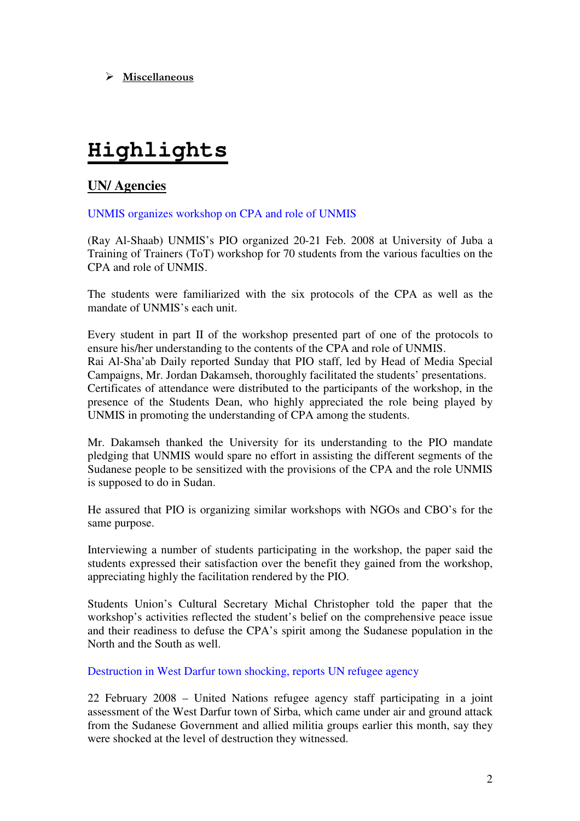$\triangleright$  Miscellaneous

# **Highlights**

## **UN/ Agencies**

UNMIS organizes workshop on CPA and role of UNMIS

(Ray Al-Shaab) UNMIS's PIO organized 20-21 Feb. 2008 at University of Juba a Training of Trainers (ToT) workshop for 70 students from the various faculties on the CPA and role of UNMIS.

The students were familiarized with the six protocols of the CPA as well as the mandate of UNMIS's each unit.

Every student in part II of the workshop presented part of one of the protocols to ensure his/her understanding to the contents of the CPA and role of UNMIS. Rai Al-Sha'ab Daily reported Sunday that PIO staff, led by Head of Media Special Campaigns, Mr. Jordan Dakamseh, thoroughly facilitated the students' presentations. Certificates of attendance were distributed to the participants of the workshop, in the presence of the Students Dean, who highly appreciated the role being played by UNMIS in promoting the understanding of CPA among the students.

Mr. Dakamseh thanked the University for its understanding to the PIO mandate pledging that UNMIS would spare no effort in assisting the different segments of the Sudanese people to be sensitized with the provisions of the CPA and the role UNMIS is supposed to do in Sudan.

He assured that PIO is organizing similar workshops with NGOs and CBO's for the same purpose.

Interviewing a number of students participating in the workshop, the paper said the students expressed their satisfaction over the benefit they gained from the workshop, appreciating highly the facilitation rendered by the PIO.

Students Union's Cultural Secretary Michal Christopher told the paper that the workshop's activities reflected the student's belief on the comprehensive peace issue and their readiness to defuse the CPA's spirit among the Sudanese population in the North and the South as well.

Destruction in West Darfur town shocking, reports UN refugee agency

22 February 2008 – United Nations refugee agency staff participating in a joint assessment of the West Darfur town of Sirba, which came under air and ground attack from the Sudanese Government and allied militia groups earlier this month, say they were shocked at the level of destruction they witnessed.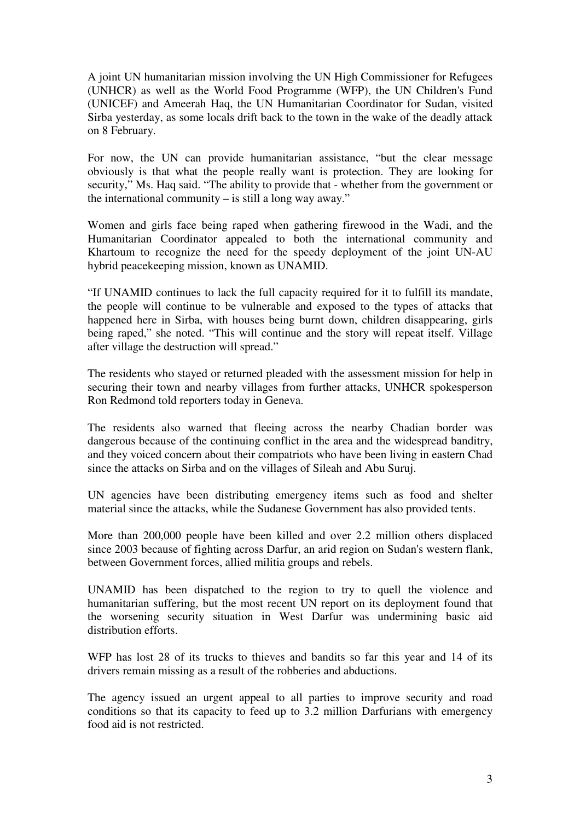A joint UN humanitarian mission involving the UN High Commissioner for Refugees (UNHCR) as well as the World Food Programme (WFP), the UN Children's Fund (UNICEF) and Ameerah Haq, the UN Humanitarian Coordinator for Sudan, visited Sirba yesterday, as some locals drift back to the town in the wake of the deadly attack on 8 February.

For now, the UN can provide humanitarian assistance, "but the clear message obviously is that what the people really want is protection. They are looking for security," Ms. Haq said. "The ability to provide that - whether from the government or the international community – is still a long way away."

Women and girls face being raped when gathering firewood in the Wadi, and the Humanitarian Coordinator appealed to both the international community and Khartoum to recognize the need for the speedy deployment of the joint UN-AU hybrid peacekeeping mission, known as UNAMID.

"If UNAMID continues to lack the full capacity required for it to fulfill its mandate, the people will continue to be vulnerable and exposed to the types of attacks that happened here in Sirba, with houses being burnt down, children disappearing, girls being raped," she noted. "This will continue and the story will repeat itself. Village after village the destruction will spread."

The residents who stayed or returned pleaded with the assessment mission for help in securing their town and nearby villages from further attacks, UNHCR spokesperson Ron Redmond told reporters today in Geneva.

The residents also warned that fleeing across the nearby Chadian border was dangerous because of the continuing conflict in the area and the widespread banditry, and they voiced concern about their compatriots who have been living in eastern Chad since the attacks on Sirba and on the villages of Sileah and Abu Suruj.

UN agencies have been distributing emergency items such as food and shelter material since the attacks, while the Sudanese Government has also provided tents.

More than 200,000 people have been killed and over 2.2 million others displaced since 2003 because of fighting across Darfur, an arid region on Sudan's western flank, between Government forces, allied militia groups and rebels.

UNAMID has been dispatched to the region to try to quell the violence and humanitarian suffering, but the most recent UN report on its deployment found that the worsening security situation in West Darfur was undermining basic aid distribution efforts.

WFP has lost 28 of its trucks to thieves and bandits so far this year and 14 of its drivers remain missing as a result of the robberies and abductions.

The agency issued an urgent appeal to all parties to improve security and road conditions so that its capacity to feed up to 3.2 million Darfurians with emergency food aid is not restricted.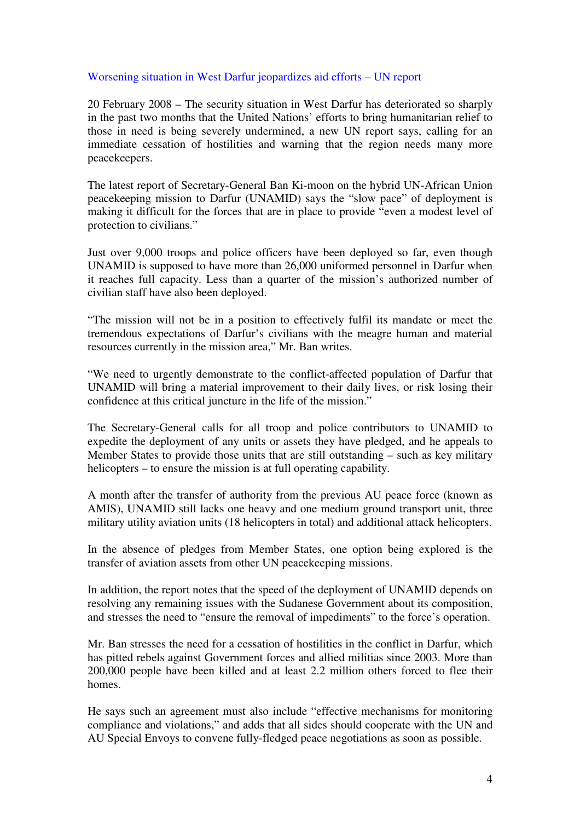#### Worsening situation in West Darfur jeopardizes aid efforts – UN report

20 February 2008 – The security situation in West Darfur has deteriorated so sharply in the past two months that the United Nations' efforts to bring humanitarian relief to those in need is being severely undermined, a new UN report says, calling for an immediate cessation of hostilities and warning that the region needs many more peacekeepers.

The latest report of Secretary-General Ban Ki-moon on the hybrid UN-African Union peacekeeping mission to Darfur (UNAMID) says the "slow pace" of deployment is making it difficult for the forces that are in place to provide "even a modest level of protection to civilians."

Just over 9,000 troops and police officers have been deployed so far, even though UNAMID is supposed to have more than 26,000 uniformed personnel in Darfur when it reaches full capacity. Less than a quarter of the mission's authorized number of civilian staff have also been deployed.

"The mission will not be in a position to effectively fulfil its mandate or meet the tremendous expectations of Darfur's civilians with the meagre human and material resources currently in the mission area," Mr. Ban writes.

"We need to urgently demonstrate to the conflict-affected population of Darfur that UNAMID will bring a material improvement to their daily lives, or risk losing their confidence at this critical juncture in the life of the mission."

The Secretary-General calls for all troop and police contributors to UNAMID to expedite the deployment of any units or assets they have pledged, and he appeals to Member States to provide those units that are still outstanding – such as key military helicopters – to ensure the mission is at full operating capability.

A month after the transfer of authority from the previous AU peace force (known as AMIS), UNAMID still lacks one heavy and one medium ground transport unit, three military utility aviation units (18 helicopters in total) and additional attack helicopters.

In the absence of pledges from Member States, one option being explored is the transfer of aviation assets from other UN peacekeeping missions.

In addition, the report notes that the speed of the deployment of UNAMID depends on resolving any remaining issues with the Sudanese Government about its composition, and stresses the need to "ensure the removal of impediments" to the force's operation.

Mr. Ban stresses the need for a cessation of hostilities in the conflict in Darfur, which has pitted rebels against Government forces and allied militias since 2003. More than 200,000 people have been killed and at least 2.2 million others forced to flee their homes.

He says such an agreement must also include "effective mechanisms for monitoring compliance and violations," and adds that all sides should cooperate with the UN and AU Special Envoys to convene fully-fledged peace negotiations as soon as possible.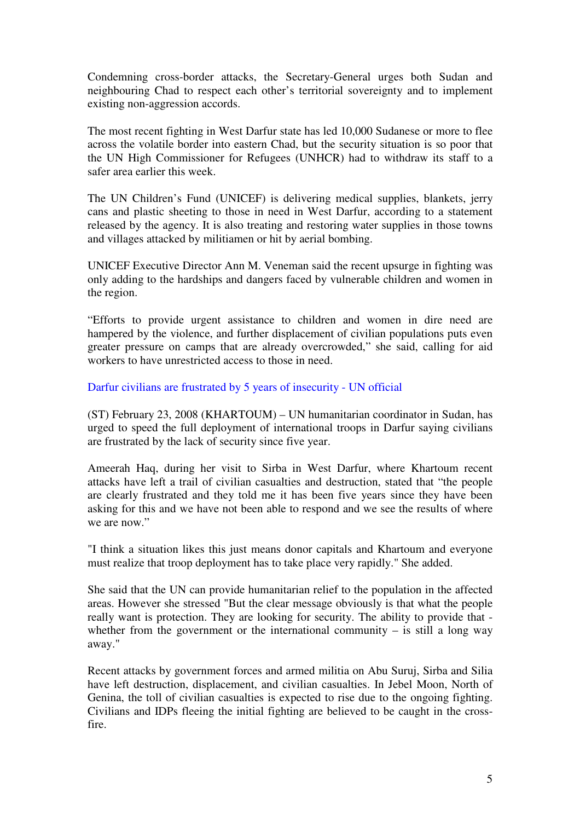Condemning cross-border attacks, the Secretary-General urges both Sudan and neighbouring Chad to respect each other's territorial sovereignty and to implement existing non-aggression accords.

The most recent fighting in West Darfur state has led 10,000 Sudanese or more to flee across the volatile border into eastern Chad, but the security situation is so poor that the UN High Commissioner for Refugees (UNHCR) had to withdraw its staff to a safer area earlier this week.

The UN Children's Fund (UNICEF) is delivering medical supplies, blankets, jerry cans and plastic sheeting to those in need in West Darfur, according to a statement released by the agency. It is also treating and restoring water supplies in those towns and villages attacked by militiamen or hit by aerial bombing.

UNICEF Executive Director Ann M. Veneman said the recent upsurge in fighting was only adding to the hardships and dangers faced by vulnerable children and women in the region.

"Efforts to provide urgent assistance to children and women in dire need are hampered by the violence, and further displacement of civilian populations puts even greater pressure on camps that are already overcrowded," she said, calling for aid workers to have unrestricted access to those in need.

## Darfur civilians are frustrated by 5 years of insecurity - UN official

(ST) February 23, 2008 (KHARTOUM) – UN humanitarian coordinator in Sudan, has urged to speed the full deployment of international troops in Darfur saying civilians are frustrated by the lack of security since five year.

Ameerah Haq, during her visit to Sirba in West Darfur, where Khartoum recent attacks have left a trail of civilian casualties and destruction, stated that "the people are clearly frustrated and they told me it has been five years since they have been asking for this and we have not been able to respond and we see the results of where we are now."

"I think a situation likes this just means donor capitals and Khartoum and everyone must realize that troop deployment has to take place very rapidly." She added.

She said that the UN can provide humanitarian relief to the population in the affected areas. However she stressed "But the clear message obviously is that what the people really want is protection. They are looking for security. The ability to provide that whether from the government or the international community  $-$  is still a long way away."

Recent attacks by government forces and armed militia on Abu Suruj, Sirba and Silia have left destruction, displacement, and civilian casualties. In Jebel Moon, North of Genina, the toll of civilian casualties is expected to rise due to the ongoing fighting. Civilians and IDPs fleeing the initial fighting are believed to be caught in the crossfire.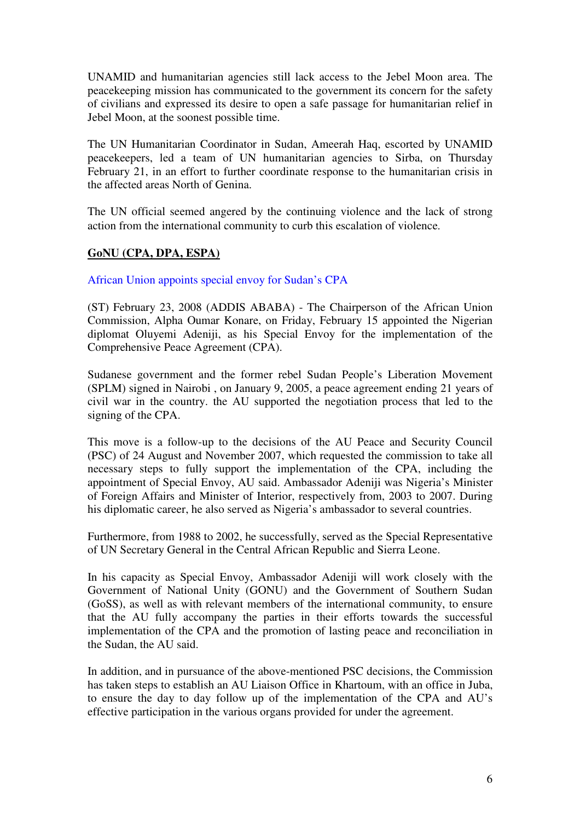UNAMID and humanitarian agencies still lack access to the Jebel Moon area. The peacekeeping mission has communicated to the government its concern for the safety of civilians and expressed its desire to open a safe passage for humanitarian relief in Jebel Moon, at the soonest possible time.

The UN Humanitarian Coordinator in Sudan, Ameerah Haq, escorted by UNAMID peacekeepers, led a team of UN humanitarian agencies to Sirba, on Thursday February 21, in an effort to further coordinate response to the humanitarian crisis in the affected areas North of Genina.

The UN official seemed angered by the continuing violence and the lack of strong action from the international community to curb this escalation of violence.

## **GoNU (CPA, DPA, ESPA)**

African Union appoints special envoy for Sudan's CPA

(ST) February 23, 2008 (ADDIS ABABA) - The Chairperson of the African Union Commission, Alpha Oumar Konare, on Friday, February 15 appointed the Nigerian diplomat Oluyemi Adeniji, as his Special Envoy for the implementation of the Comprehensive Peace Agreement (CPA).

Sudanese government and the former rebel Sudan People's Liberation Movement (SPLM) signed in Nairobi , on January 9, 2005, a peace agreement ending 21 years of civil war in the country. the AU supported the negotiation process that led to the signing of the CPA.

This move is a follow-up to the decisions of the AU Peace and Security Council (PSC) of 24 August and November 2007, which requested the commission to take all necessary steps to fully support the implementation of the CPA, including the appointment of Special Envoy, AU said. Ambassador Adeniji was Nigeria's Minister of Foreign Affairs and Minister of Interior, respectively from, 2003 to 2007. During his diplomatic career, he also served as Nigeria's ambassador to several countries.

Furthermore, from 1988 to 2002, he successfully, served as the Special Representative of UN Secretary General in the Central African Republic and Sierra Leone.

In his capacity as Special Envoy, Ambassador Adeniji will work closely with the Government of National Unity (GONU) and the Government of Southern Sudan (GoSS), as well as with relevant members of the international community, to ensure that the AU fully accompany the parties in their efforts towards the successful implementation of the CPA and the promotion of lasting peace and reconciliation in the Sudan, the AU said.

In addition, and in pursuance of the above-mentioned PSC decisions, the Commission has taken steps to establish an AU Liaison Office in Khartoum, with an office in Juba, to ensure the day to day follow up of the implementation of the CPA and AU's effective participation in the various organs provided for under the agreement.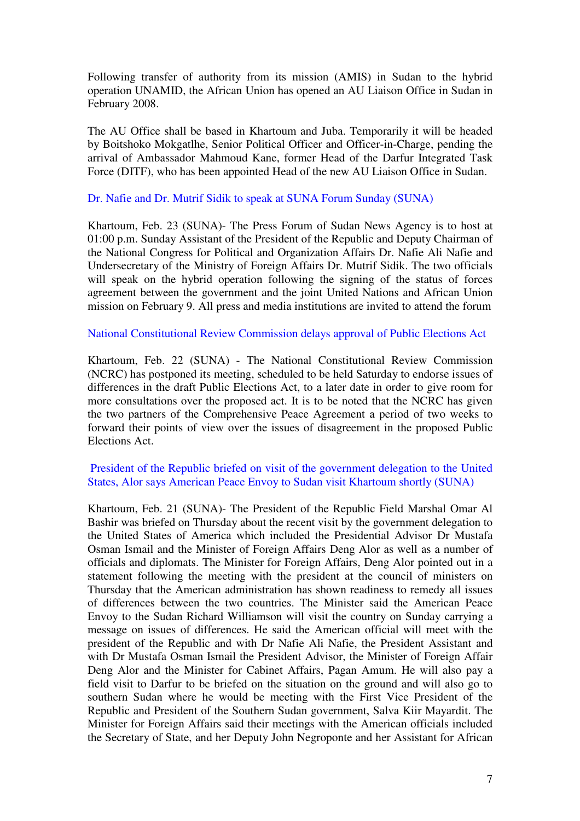Following transfer of authority from its mission (AMIS) in Sudan to the hybrid operation UNAMID, the African Union has opened an AU Liaison Office in Sudan in February 2008.

The AU Office shall be based in Khartoum and Juba. Temporarily it will be headed by Boitshoko Mokgatlhe, Senior Political Officer and Officer-in-Charge, pending the arrival of Ambassador Mahmoud Kane, former Head of the Darfur Integrated Task Force (DITF), who has been appointed Head of the new AU Liaison Office in Sudan.

#### Dr. Nafie and Dr. Mutrif Sidik to speak at SUNA Forum Sunday (SUNA)

Khartoum, Feb. 23 (SUNA)- The Press Forum of Sudan News Agency is to host at 01:00 p.m. Sunday Assistant of the President of the Republic and Deputy Chairman of the National Congress for Political and Organization Affairs Dr. Nafie Ali Nafie and Undersecretary of the Ministry of Foreign Affairs Dr. Mutrif Sidik. The two officials will speak on the hybrid operation following the signing of the status of forces agreement between the government and the joint United Nations and African Union mission on February 9. All press and media institutions are invited to attend the forum

#### National Constitutional Review Commission delays approval of Public Elections Act

Khartoum, Feb. 22 (SUNA) - The National Constitutional Review Commission (NCRC) has postponed its meeting, scheduled to be held Saturday to endorse issues of differences in the draft Public Elections Act, to a later date in order to give room for more consultations over the proposed act. It is to be noted that the NCRC has given the two partners of the Comprehensive Peace Agreement a period of two weeks to forward their points of view over the issues of disagreement in the proposed Public Elections Act.

### President of the Republic briefed on visit of the government delegation to the United States, Alor says American Peace Envoy to Sudan visit Khartoum shortly (SUNA)

Khartoum, Feb. 21 (SUNA)- The President of the Republic Field Marshal Omar Al Bashir was briefed on Thursday about the recent visit by the government delegation to the United States of America which included the Presidential Advisor Dr Mustafa Osman Ismail and the Minister of Foreign Affairs Deng Alor as well as a number of officials and diplomats. The Minister for Foreign Affairs, Deng Alor pointed out in a statement following the meeting with the president at the council of ministers on Thursday that the American administration has shown readiness to remedy all issues of differences between the two countries. The Minister said the American Peace Envoy to the Sudan Richard Williamson will visit the country on Sunday carrying a message on issues of differences. He said the American official will meet with the president of the Republic and with Dr Nafie Ali Nafie, the President Assistant and with Dr Mustafa Osman Ismail the President Advisor, the Minister of Foreign Affair Deng Alor and the Minister for Cabinet Affairs, Pagan Amum. He will also pay a field visit to Darfur to be briefed on the situation on the ground and will also go to southern Sudan where he would be meeting with the First Vice President of the Republic and President of the Southern Sudan government, Salva Kiir Mayardit. The Minister for Foreign Affairs said their meetings with the American officials included the Secretary of State, and her Deputy John Negroponte and her Assistant for African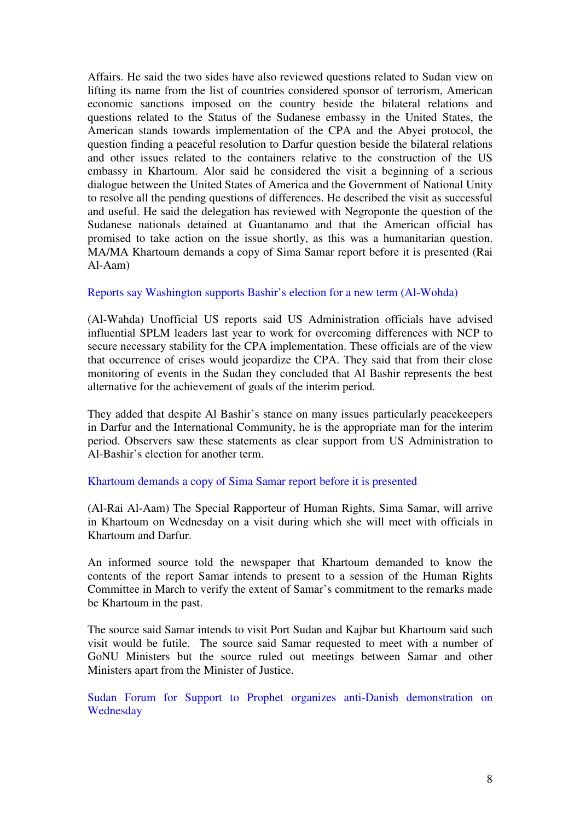Affairs. He said the two sides have also reviewed questions related to Sudan view on lifting its name from the list of countries considered sponsor of terrorism, American economic sanctions imposed on the country beside the bilateral relations and questions related to the Status of the Sudanese embassy in the United States, the American stands towards implementation of the CPA and the Abyei protocol, the question finding a peaceful resolution to Darfur question beside the bilateral relations and other issues related to the containers relative to the construction of the US embassy in Khartoum. Alor said he considered the visit a beginning of a serious dialogue between the United States of America and the Government of National Unity to resolve all the pending questions of differences. He described the visit as successful and useful. He said the delegation has reviewed with Negroponte the question of the Sudanese nationals detained at Guantanamo and that the American official has promised to take action on the issue shortly, as this was a humanitarian question. MA/MA Khartoum demands a copy of Sima Samar report before it is presented (Rai Al-Aam)

#### Reports say Washington supports Bashir's election for a new term (Al-Wohda)

(Al-Wahda) Unofficial US reports said US Administration officials have advised influential SPLM leaders last year to work for overcoming differences with NCP to secure necessary stability for the CPA implementation. These officials are of the view that occurrence of crises would jeopardize the CPA. They said that from their close monitoring of events in the Sudan they concluded that Al Bashir represents the best alternative for the achievement of goals of the interim period.

They added that despite Al Bashir's stance on many issues particularly peacekeepers in Darfur and the International Community, he is the appropriate man for the interim period. Observers saw these statements as clear support from US Administration to Al-Bashir's election for another term.

#### Khartoum demands a copy of Sima Samar report before it is presented

(Al-Rai Al-Aam) The Special Rapporteur of Human Rights, Sima Samar, will arrive in Khartoum on Wednesday on a visit during which she will meet with officials in Khartoum and Darfur.

An informed source told the newspaper that Khartoum demanded to know the contents of the report Samar intends to present to a session of the Human Rights Committee in March to verify the extent of Samar's commitment to the remarks made be Khartoum in the past.

The source said Samar intends to visit Port Sudan and Kajbar but Khartoum said such visit would be futile. The source said Samar requested to meet with a number of GoNU Ministers but the source ruled out meetings between Samar and other Ministers apart from the Minister of Justice.

Sudan Forum for Support to Prophet organizes anti-Danish demonstration on **Wednesday**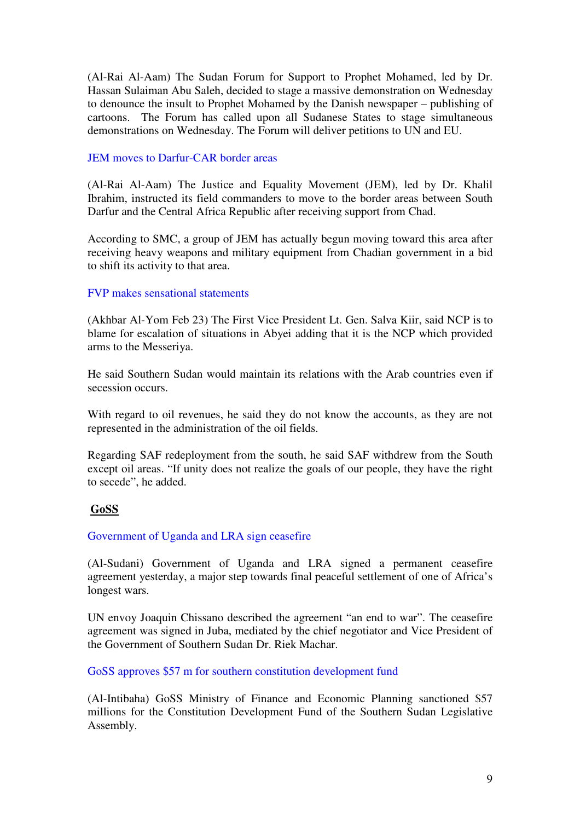(Al-Rai Al-Aam) The Sudan Forum for Support to Prophet Mohamed, led by Dr. Hassan Sulaiman Abu Saleh, decided to stage a massive demonstration on Wednesday to denounce the insult to Prophet Mohamed by the Danish newspaper – publishing of cartoons. The Forum has called upon all Sudanese States to stage simultaneous demonstrations on Wednesday. The Forum will deliver petitions to UN and EU.

### JEM moves to Darfur-CAR border areas

(Al-Rai Al-Aam) The Justice and Equality Movement (JEM), led by Dr. Khalil Ibrahim, instructed its field commanders to move to the border areas between South Darfur and the Central Africa Republic after receiving support from Chad.

According to SMC, a group of JEM has actually begun moving toward this area after receiving heavy weapons and military equipment from Chadian government in a bid to shift its activity to that area.

## FVP makes sensational statements

(Akhbar Al-Yom Feb 23) The First Vice President Lt. Gen. Salva Kiir, said NCP is to blame for escalation of situations in Abyei adding that it is the NCP which provided arms to the Messeriya.

He said Southern Sudan would maintain its relations with the Arab countries even if secession occurs.

With regard to oil revenues, he said they do not know the accounts, as they are not represented in the administration of the oil fields.

Regarding SAF redeployment from the south, he said SAF withdrew from the South except oil areas. "If unity does not realize the goals of our people, they have the right to secede", he added.

## **GoSS**

Government of Uganda and LRA sign ceasefire

(Al-Sudani) Government of Uganda and LRA signed a permanent ceasefire agreement yesterday, a major step towards final peaceful settlement of one of Africa's longest wars.

UN envoy Joaquin Chissano described the agreement "an end to war". The ceasefire agreement was signed in Juba, mediated by the chief negotiator and Vice President of the Government of Southern Sudan Dr. Riek Machar.

GoSS approves \$57 m for southern constitution development fund

(Al-Intibaha) GoSS Ministry of Finance and Economic Planning sanctioned \$57 millions for the Constitution Development Fund of the Southern Sudan Legislative Assembly.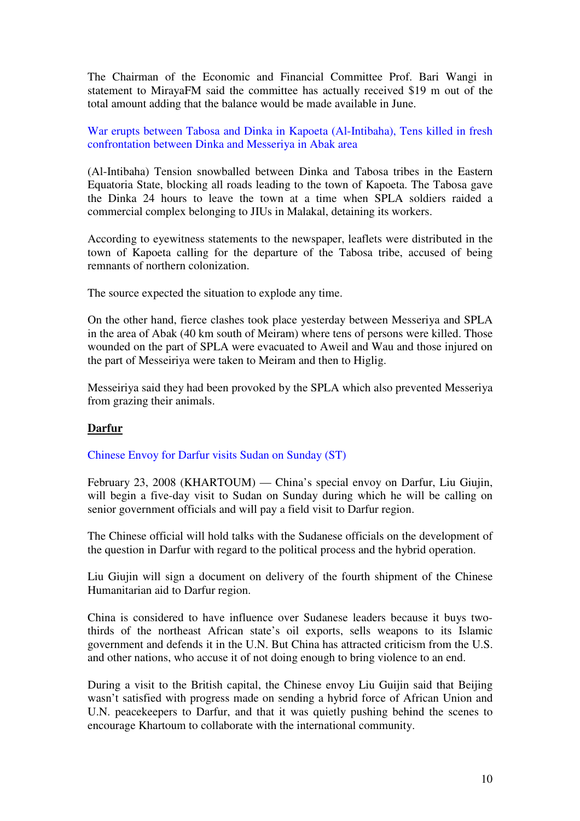The Chairman of the Economic and Financial Committee Prof. Bari Wangi in statement to MirayaFM said the committee has actually received \$19 m out of the total amount adding that the balance would be made available in June.

War erupts between Tabosa and Dinka in Kapoeta (Al-Intibaha), Tens killed in fresh confrontation between Dinka and Messeriya in Abak area

(Al-Intibaha) Tension snowballed between Dinka and Tabosa tribes in the Eastern Equatoria State, blocking all roads leading to the town of Kapoeta. The Tabosa gave the Dinka 24 hours to leave the town at a time when SPLA soldiers raided a commercial complex belonging to JIUs in Malakal, detaining its workers.

According to eyewitness statements to the newspaper, leaflets were distributed in the town of Kapoeta calling for the departure of the Tabosa tribe, accused of being remnants of northern colonization.

The source expected the situation to explode any time.

On the other hand, fierce clashes took place yesterday between Messeriya and SPLA in the area of Abak (40 km south of Meiram) where tens of persons were killed. Those wounded on the part of SPLA were evacuated to Aweil and Wau and those injured on the part of Messeiriya were taken to Meiram and then to Higlig.

Messeiriya said they had been provoked by the SPLA which also prevented Messeriya from grazing their animals.

## **Darfur**

#### Chinese Envoy for Darfur visits Sudan on Sunday (ST)

February 23, 2008 (KHARTOUM) — China's special envoy on Darfur, Liu Giujin, will begin a five-day visit to Sudan on Sunday during which he will be calling on senior government officials and will pay a field visit to Darfur region.

The Chinese official will hold talks with the Sudanese officials on the development of the question in Darfur with regard to the political process and the hybrid operation.

Liu Giujin will sign a document on delivery of the fourth shipment of the Chinese Humanitarian aid to Darfur region.

China is considered to have influence over Sudanese leaders because it buys twothirds of the northeast African state's oil exports, sells weapons to its Islamic government and defends it in the U.N. But China has attracted criticism from the U.S. and other nations, who accuse it of not doing enough to bring violence to an end.

During a visit to the British capital, the Chinese envoy Liu Guijin said that Beijing wasn't satisfied with progress made on sending a hybrid force of African Union and U.N. peacekeepers to Darfur, and that it was quietly pushing behind the scenes to encourage Khartoum to collaborate with the international community.